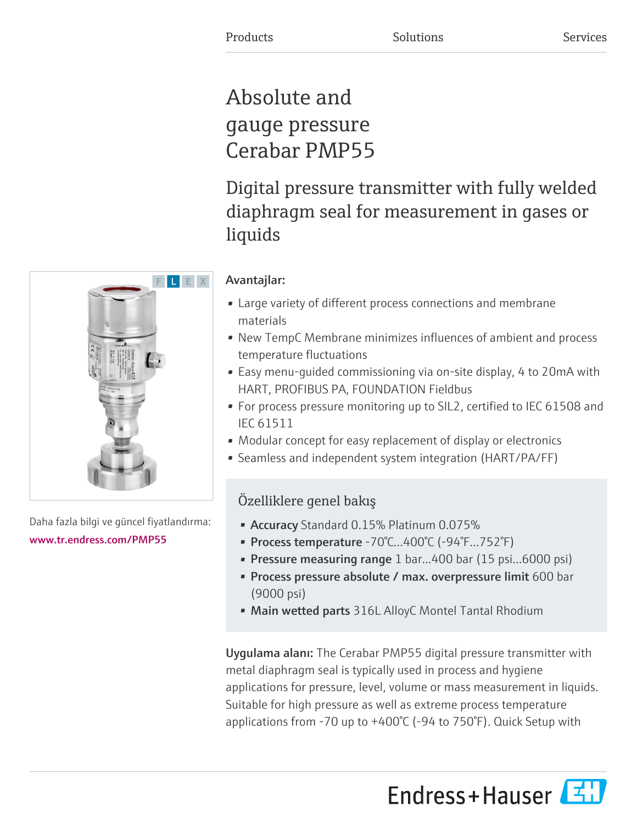# Absolute and gauge pressure Cerabar PMP55

Digital pressure transmitter with fully welded diaphragm seal for measurement in gases or liquids

# Avantajlar:

- Large variety of different process connections and membrane materials
- New TempC Membrane minimizes influences of ambient and process temperature fluctuations
- Easy menu-guided commissioning via on-site display, 4 to 20mA with HART, PROFIBUS PA, FOUNDATION Fieldbus
- For process pressure monitoring up to SIL2, certified to IEC 61508 and IEC 61511
- Modular concept for easy replacement of display or electronics
- Seamless and independent system integration (HART/PA/FF)

# Özelliklere genel bakış

- Accuracy Standard 0.15% Platinum 0.075%
- Process temperature -70°C…400°C (-94°F…752°F)
- Pressure measuring range 1 bar...400 bar (15 psi...6000 psi)
- Process pressure absolute / max. overpressure limit 600 bar (9000 psi)
- Main wetted parts 316L AlloyC Montel Tantal Rhodium

Uygulama alanı: The Cerabar PMP55 digital pressure transmitter with metal diaphragm seal is typically used in process and hygiene applications for pressure, level, volume or mass measurement in liquids. Suitable for high pressure as well as extreme process temperature applications from -70 up to +400°C (-94 to 750°F). Quick Setup with





Daha fazla bilgi ve güncel fiyatlandırma: [www.tr.endress.com/PMP55](https://www.tr.endress.com/PMP55)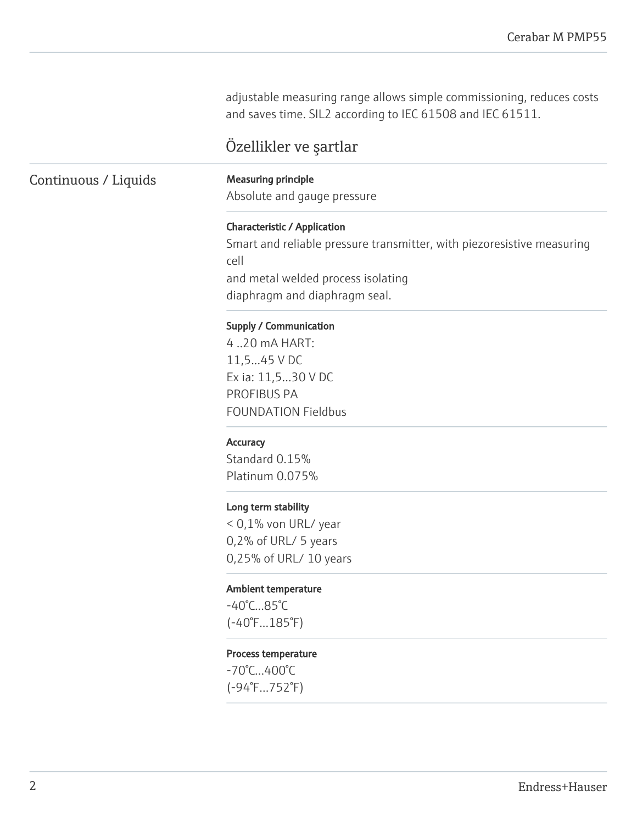adjustable measuring range allows simple commissioning, reduces costs and saves time. SIL2 according to IEC 61508 and IEC 61511.

# Özellikler ve şartlar

# Continuous / Liquids Measuring principle

Absolute and gauge pressure

### Characteristic / Application

Smart and reliable pressure transmitter, with piezoresistive measuring cell and metal welded process isolating diaphragm and diaphragm seal.

#### Supply / Communication

4 ..20 mA HART: 11,5...45 V DC Ex ia: 11,5...30 V DC PROFIBUS PA FOUNDATION Fieldbus

#### **Accuracy**

Standard 0.15% Platinum 0.075%

#### Long term stability

< 0,1% von URL/ year 0,2% of URL/ 5 years 0,25% of URL/ 10 years

#### Ambient temperature

-40°C...85°C (-40°F...185°F)

#### Process temperature

-70°C…400°C (-94°F…752°F)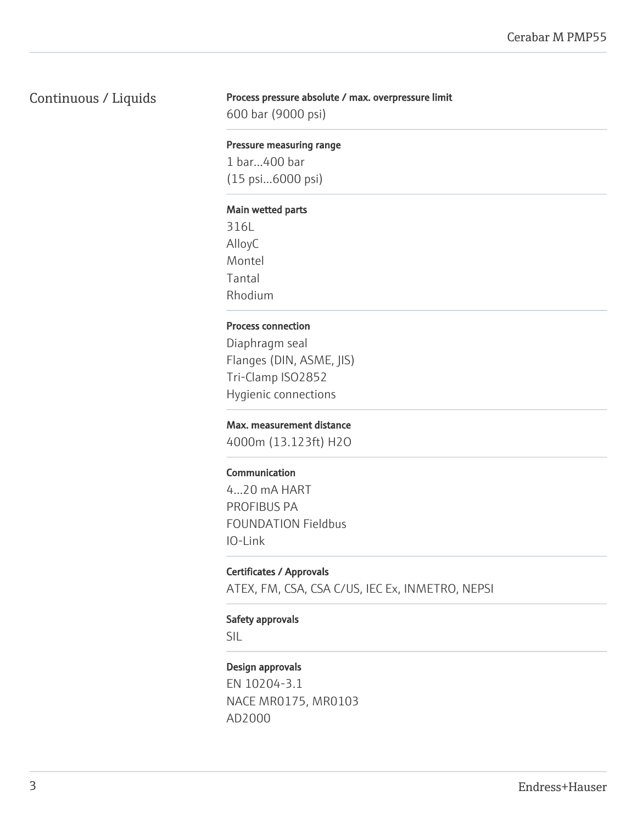# Continuous / Liquids

#### Process pressure absolute / max. overpressure limit

600 bar (9000 psi)

#### Pressure measuring range

1 bar...400 bar (15 psi...6000 psi)

#### Main wetted parts

316L AlloyC Montel Tantal Rhodium

### Process connection

Diaphragm seal Flanges (DIN, ASME, JIS) Tri-Clamp ISO2852 Hygienic connections

#### Max. measurement distance

4000m (13.123ft) H2O

### Communication

4...20 mA HART PROFIBUS PA FOUNDATION Fieldbus IO-Link

#### Certificates / Approvals

ATEX, FM, CSA, CSA C/US, IEC Ex, INMETRO, NEPSI

## Safety approvals

SIL

### Design approvals

EN 10204-3.1 NACE MR0175, MR0103 AD2000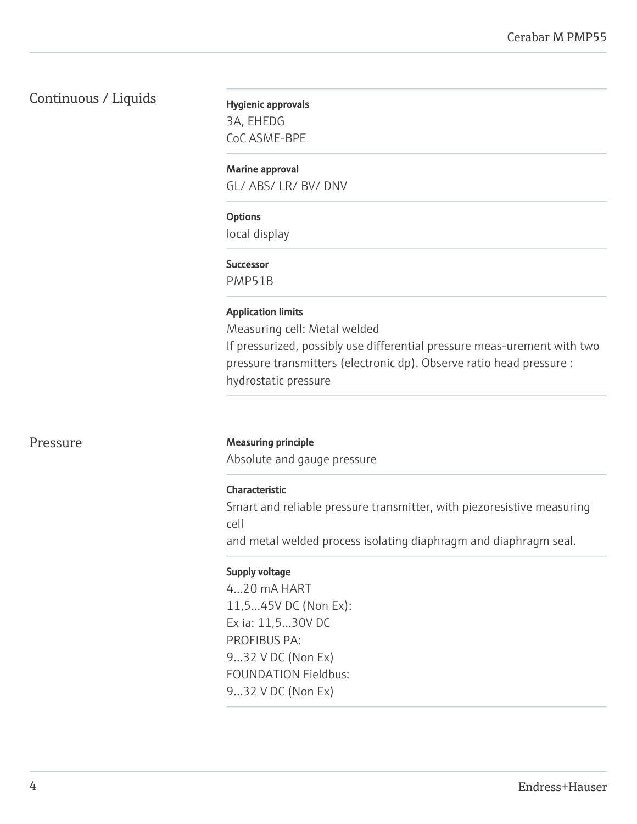# Continuous / Liquids

Hygienic approvals 3A, EHEDG CoC ASME-BPE

Marine approval

GL/ ABS/ LR/ BV/ DNV

## **Options**

local display

#### Successor

PMP51B

#### Application limits

Measuring cell: Metal welded If pressurized, possibly use differential pressure meas-urement with two pressure transmitters (electronic dp). Observe ratio head pressure : hydrostatic pressure

#### Pressure Measuring principle

Absolute and gauge pressure

#### Characteristic

Smart and reliable pressure transmitter, with piezoresistive measuring cell

and metal welded process isolating diaphragm and diaphragm seal.

#### Supply voltage

4...20 mA HART 11,5...45V DC (Non Ex): Ex ia: 11,5...30V DC PROFIBUS PA: 9...32 V DC (Non Ex) FOUNDATION Fieldbus: 9...32 V DC (Non Ex)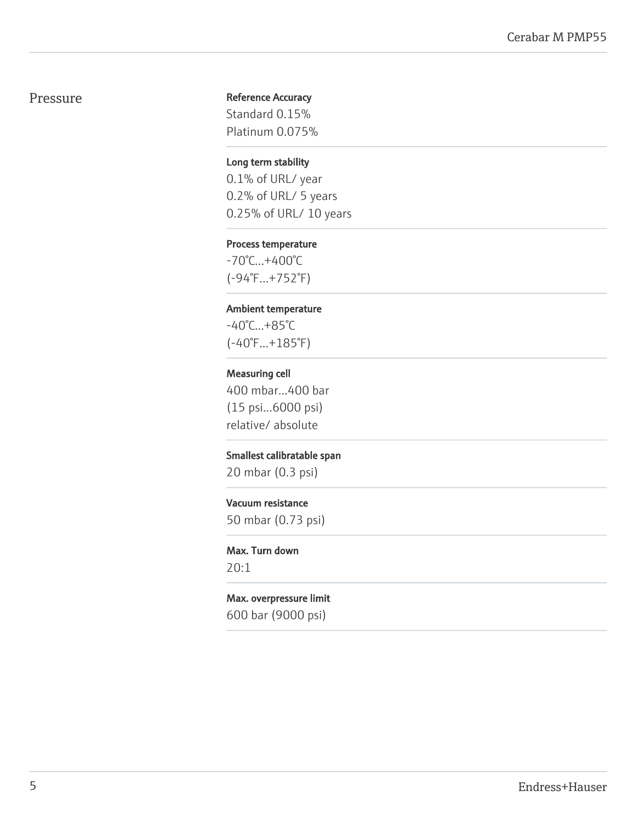# Pressure

### Reference Accuracy

Standard 0.15% Platinum 0.075%

#### Long term stability

0.1% of URL/ year 0.2% of URL/ 5 years 0.25% of URL/ 10 years

#### Process temperature

-70°C…+400°C (-94°F…+752°F)

## Ambient temperature

-40°C...+85°C (-40°F...+185°F)

#### Measuring cell

400 mbar...400 bar (15 psi...6000 psi) relative/ absolute

#### Smallest calibratable span

20 mbar (0.3 psi)

#### Vacuum resistance

50 mbar (0.73 psi)

## Max. Turn down 20:1

Max. overpressure limit 600 bar (9000 psi)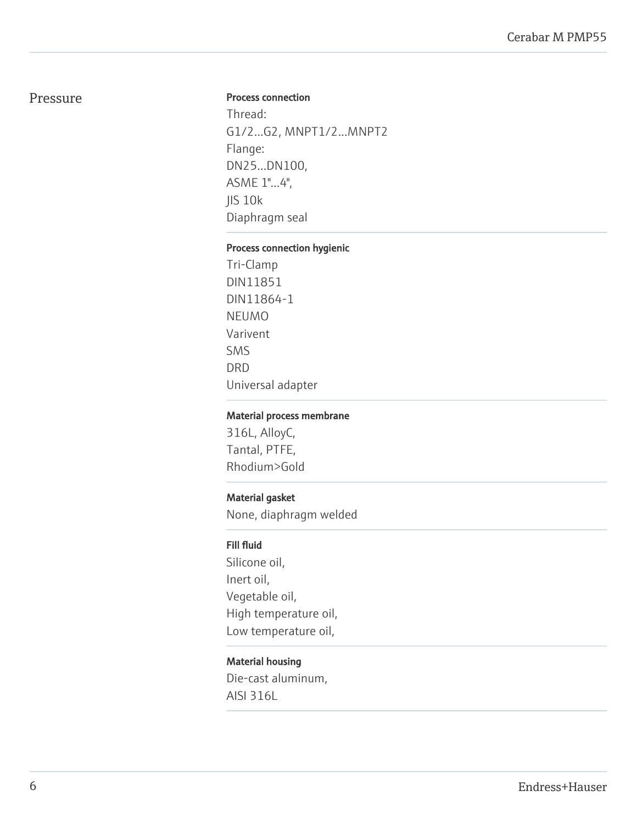# Pressure

#### Process connection

Thread: G1/2...G2, MNPT1/2...MNPT2 Flange: DN25...DN100, ASME 1"...4", JIS 10k Diaphragm seal

## Process connection hygienic

Tri-Clamp DIN11851 DIN11864-1 NEUMO Varivent SMS DRD Universal adapter

#### Material process membrane

316L, AlloyC, Tantal, PTFE, Rhodium>Gold

## Material gasket

None, diaphragm welded

# Fill fluid

Silicone oil, Inert oil, Vegetable oil, High temperature oil, Low temperature oil,

#### Material housing

Die-cast aluminum, AISI 316L